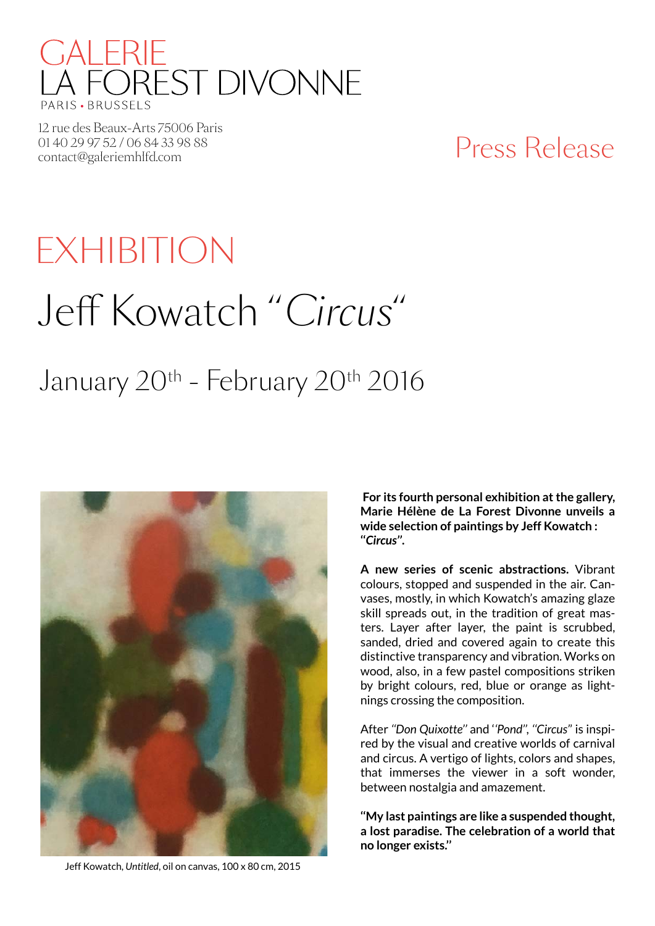

12 rue des Beaux-Arts 75006 Paris 01 40 29 97 52 / 06 84 33 98 88 01 40 29 97 52 / 06 84 33 98 88<br>
contact@galeriemhlfd.com Press Release

# Jeff Kowatch ''*Circus*'' January 20<sup>th</sup> - February 20<sup>th</sup> 2016 EXHIBITION



 **For its fourth personal exhibition at the gallery, Marie Hélène de La Forest Divonne unveils a wide selection of paintings by Jeff Kowatch : ''***Circus''***.**

**A new series of scenic abstractions.** Vibrant colours, stopped and suspended in the air. Canvases, mostly, in which Kowatch's amazing glaze skill spreads out, in the tradition of great masters. Layer after layer, the paint is scrubbed, sanded, dried and covered again to create this distinctive transparency and vibration. Works on wood, also, in a few pastel compositions striken by bright colours, red, blue or orange as lightnings crossing the composition.

After *''Don Quixotte''* and '*'Pond'', ''Circus'*' is inspired by the visual and creative worlds of carnival and circus. A vertigo of lights, colors and shapes, that immerses the viewer in a soft wonder, between nostalgia and amazement.

**''My last paintings are like a suspended thought, a lost paradise. The celebration of a world that no longer exists.''**

Jeff Kowatch, *Untitled*, oil on canvas, 100 x 80 cm, 2015